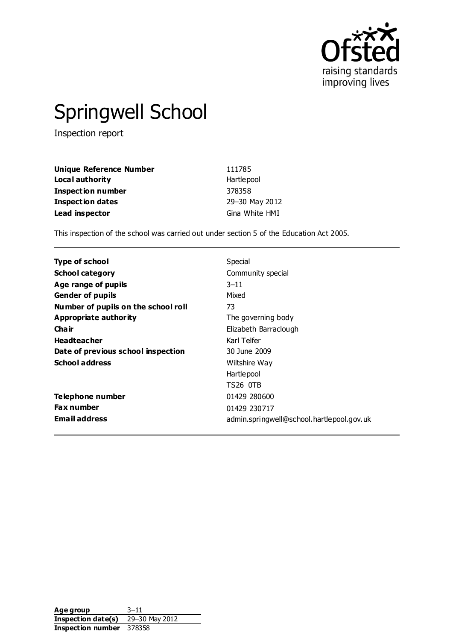

# Springwell School

Inspection report

| <b>Unique Reference Number</b> | 111785         |
|--------------------------------|----------------|
| Local authority                | Hartlepool     |
| <b>Inspection number</b>       | 378358         |
| <b>Inspection dates</b>        | 29-30 May 2012 |
| Lead inspector                 | Gina White HMI |

This inspection of the school was carried out under section 5 of the Education Act 2005.

| Type of school                      | Special                                   |
|-------------------------------------|-------------------------------------------|
| <b>School category</b>              | Community special                         |
| Age range of pupils                 | $3 - 11$                                  |
| <b>Gender of pupils</b>             | Mixed                                     |
| Number of pupils on the school roll | 73                                        |
| Appropriate authority               | The governing body                        |
| Cha ir                              | Elizabeth Barraclough                     |
| <b>Headteacher</b>                  | Karl Telfer                               |
| Date of previous school inspection  | 30 June 2009                              |
| <b>School address</b>               | Wiltshire Way                             |
|                                     | Hartlepool                                |
|                                     | TS26 OTB                                  |
| Telephone number                    | 01429 280600                              |
| <b>Fax number</b>                   | 01429 230717                              |
| <b>Email address</b>                | admin.springwell@school.hartlepool.gov.uk |

**Age group** 3–11 **Inspection date(s)** 29–30 May 2012 **Inspection number** 378358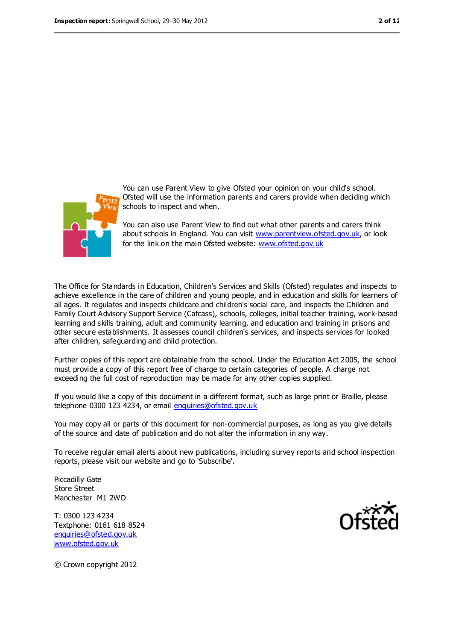

You can use Parent View to give Ofsted your opinion on your child's school. Ofsted will use the information parents and carers provide when deciding which schools to inspect and when.

You can also use Parent View to find out what other parents and carers think about schools in England. You can visit [www.parentview.ofsted.gov.uk,](file:///C:/Users/glaw/gwhite/AppData/Local/Microsoft/Windows/Temporary%20Internet%20Files/OLK413E/www.parentview.ofsted.gov.uk) or look for the link on the main Ofsted website: [www.ofsted.gov.uk](file:///C:/Users/glaw/gwhite/AppData/Local/Microsoft/Windows/Temporary%20Internet%20Files/OLK413E/www.ofsted.gov.uk)

The Office for Standards in Education, Children's Services and Skills (Ofsted) regulates and inspects to achieve excellence in the care of children and young people, and in education and skills for learners of all ages. It regulates and inspects childcare and children's social care, and inspects the Children and Family Court Advisory Support Service (Cafcass), schools, colleges, initial teacher training, work-based learning and skills training, adult and community learning, and education and training in prisons and other secure establishments. It assesses council children's services, and inspects services for looked after children, safeguarding and child protection.

Further copies of this report are obtainable from the school. Under the Education Act 2005, the school must provide a copy of this report free of charge to certain categories of people. A charge not exceeding the full cost of reproduction may be made for any other copies supplied.

If you would like a copy of this document in a different format, such as large print or Braille, please telephone 0300 123 4234, or email [enquiries@ofsted.gov.uk](mailto:enquiries@ofsted.gov.uk)

You may copy all or parts of this document for non-commercial purposes, as long as you give details of the source and date of publication and do not alter the information in any way.

To receive regular email alerts about new publications, including survey reports and school inspection reports, please visit our website and go to 'Subscribe'.

Piccadilly Gate Store Street Manchester M1 2WD

T: 0300 123 4234 Textphone: 0161 618 8524 [enquiries@ofsted.gov.uk](mailto:enquiries@ofsted.gov.uk) [www.ofsted.gov.uk](http://www.ofsted.gov.uk/)



© Crown copyright 2012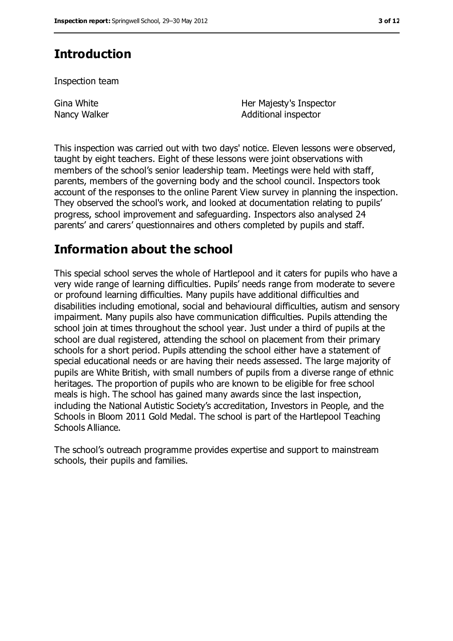# **Introduction**

Inspection team

Gina White Nancy Walker Her Majesty's Inspector Additional inspector

This inspection was carried out with two days' notice. Eleven lessons were observed, taught by eight teachers. Eight of these lessons were joint observations with members of the school's senior leadership team. Meetings were held with staff, parents, members of the governing body and the school council. Inspectors took account of the responses to the online Parent View survey in planning the inspection. They observed the school's work, and looked at documentation relating to pupils' progress, school improvement and safeguarding. Inspectors also analysed 24 parents' and carers' questionnaires and others completed by pupils and staff.

# **Information about the school**

This special school serves the whole of Hartlepool and it caters for pupils who have a very wide range of learning difficulties. Pupils' needs range from moderate to severe or profound learning difficulties. Many pupils have additional difficulties and disabilities including emotional, social and behavioural difficulties, autism and sensory impairment. Many pupils also have communication difficulties. Pupils attending the school join at times throughout the school year. Just under a third of pupils at the school are dual registered, attending the school on placement from their primary schools for a short period. Pupils attending the school either have a statement of special educational needs or are having their needs assessed. The large majority of pupils are White British, with small numbers of pupils from a diverse range of ethnic heritages. The proportion of pupils who are known to be eligible for free school meals is high. The school has gained many awards since the last inspection, including the National Autistic Society's accreditation, Investors in People, and the Schools in Bloom 2011 Gold Medal. The school is part of the Hartlepool Teaching Schools Alliance.

The school's outreach programme provides expertise and support to mainstream schools, their pupils and families.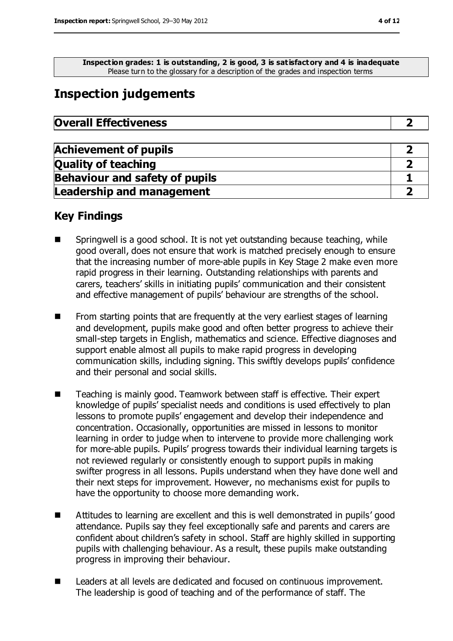**Inspection grades: 1 is outstanding, 2 is good, 3 is satisfactory and 4 is inadequate** Please turn to the glossary for a description of the grades and inspection terms

# **Inspection judgements**

| <b>Overall Effectiveness</b> |  |
|------------------------------|--|
|------------------------------|--|

| <b>Achievement of pupils</b>          |  |
|---------------------------------------|--|
| <b>Quality of teaching</b>            |  |
| <b>Behaviour and safety of pupils</b> |  |
| <b>Leadership and management</b>      |  |

### **Key Findings**

- Springwell is a good school. It is not yet outstanding because teaching, while good overall, does not ensure that work is matched precisely enough to ensure that the increasing number of more-able pupils in Key Stage 2 make even more rapid progress in their learning. Outstanding relationships with parents and carers, teachers' skills in initiating pupils' communication and their consistent and effective management of pupils' behaviour are strengths of the school.
- $\blacksquare$  From starting points that are frequently at the very earliest stages of learning and development, pupils make good and often better progress to achieve their small-step targets in English, mathematics and science. Effective diagnoses and support enable almost all pupils to make rapid progress in developing communication skills, including signing. This swiftly develops pupils' confidence and their personal and social skills.
- Teaching is mainly good. Teamwork between staff is effective. Their expert knowledge of pupils' specialist needs and conditions is used effectively to plan lessons to promote pupils' engagement and develop their independence and concentration. Occasionally, opportunities are missed in lessons to monitor learning in order to judge when to intervene to provide more challenging work for more-able pupils. Pupils' progress towards their individual learning targets is not reviewed regularly or consistently enough to support pupils in making swifter progress in all lessons. Pupils understand when they have done well and their next steps for improvement. However, no mechanisms exist for pupils to have the opportunity to choose more demanding work.
- Attitudes to learning are excellent and this is well demonstrated in pupils' good attendance. Pupils say they feel exceptionally safe and parents and carers are confident about children's safety in school. Staff are highly skilled in supporting pupils with challenging behaviour. As a result, these pupils make outstanding progress in improving their behaviour.
- E Leaders at all levels are dedicated and focused on continuous improvement. The leadership is good of teaching and of the performance of staff. The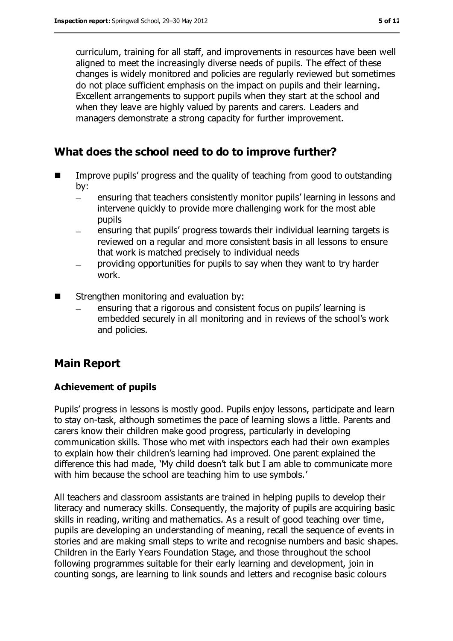curriculum, training for all staff, and improvements in resources have been well aligned to meet the increasingly diverse needs of pupils. The effect of these changes is widely monitored and policies are regularly reviewed but sometimes do not place sufficient emphasis on the impact on pupils and their learning. Excellent arrangements to support pupils when they start at the school and when they leave are highly valued by parents and carers. Leaders and managers demonstrate a strong capacity for further improvement.

### **What does the school need to do to improve further?**

- Improve pupils' progress and the quality of teaching from good to outstanding by:
	- ensuring that teachers consistently monitor pupils' learning in lessons and  $\equiv$ intervene quickly to provide more challenging work for the most able pupils
	- ensuring that pupils' progress towards their individual learning targets is reviewed on a regular and more consistent basis in all lessons to ensure that work is matched precisely to individual needs
	- providing opportunities for pupils to say when they want to try harder work.
- Strengthen monitoring and evaluation by:
	- ensuring that a rigorous and consistent focus on pupils' learning is embedded securely in all monitoring and in reviews of the school's work and policies.

### **Main Report**

#### **Achievement of pupils**

Pupils' progress in lessons is mostly good. Pupils enjoy lessons, participate and learn to stay on-task, although sometimes the pace of learning slows a little. Parents and carers know their children make good progress, particularly in developing communication skills. Those who met with inspectors each had their own examples to explain how their children's learning had improved. One parent explained the difference this had made, 'My child doesn't talk but I am able to communicate more with him because the school are teaching him to use symbols.'

All teachers and classroom assistants are trained in helping pupils to develop their literacy and numeracy skills. Consequently, the majority of pupils are acquiring basic skills in reading, writing and mathematics. As a result of good teaching over time, pupils are developing an understanding of meaning, recall the sequence of events in stories and are making small steps to write and recognise numbers and basic shapes. Children in the Early Years Foundation Stage, and those throughout the school following programmes suitable for their early learning and development, join in counting songs, are learning to link sounds and letters and recognise basic colours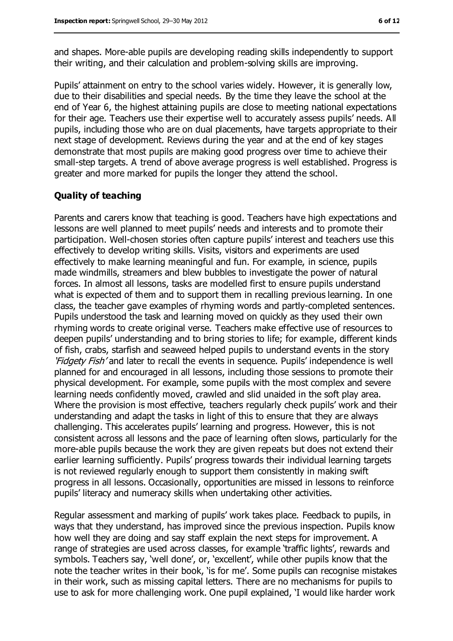and shapes. More-able pupils are developing reading skills independently to support their writing, and their calculation and problem-solving skills are improving.

Pupils' attainment on entry to the school varies widely. However, it is generally low, due to their disabilities and special needs. By the time they leave the school at the end of Year 6, the highest attaining pupils are close to meeting national expectations for their age. Teachers use their expertise well to accurately assess pupils' needs. All pupils, including those who are on dual placements, have targets appropriate to their next stage of development. Reviews during the year and at the end of key stages demonstrate that most pupils are making good progress over time to achieve their small-step targets. A trend of above average progress is well established. Progress is greater and more marked for pupils the longer they attend the school.

#### **Quality of teaching**

Parents and carers know that teaching is good. Teachers have high expectations and lessons are well planned to meet pupils' needs and interests and to promote their participation. Well-chosen stories often capture pupils' interest and teachers use this effectively to develop writing skills. Visits, visitors and experiments are used effectively to make learning meaningful and fun. For example, in science, pupils made windmills, streamers and blew bubbles to investigate the power of natural forces. In almost all lessons, tasks are modelled first to ensure pupils understand what is expected of them and to support them in recalling previous learning. In one class, the teacher gave examples of rhyming words and partly-completed sentences. Pupils understood the task and learning moved on quickly as they used their own rhyming words to create original verse. Teachers make effective use of resources to deepen pupils' understanding and to bring stories to life; for example, different kinds of fish, crabs, starfish and seaweed helped pupils to understand events in the story 'Fidgety Fish' and later to recall the events in sequence. Pupils' independence is well planned for and encouraged in all lessons, including those sessions to promote their physical development. For example, some pupils with the most complex and severe learning needs confidently moved, crawled and slid unaided in the soft play area. Where the provision is most effective, teachers regularly check pupils' work and their understanding and adapt the tasks in light of this to ensure that they are always challenging. This accelerates pupils' learning and progress. However, this is not consistent across all lessons and the pace of learning often slows, particularly for the more-able pupils because the work they are given repeats but does not extend their earlier learning sufficiently. Pupils' progress towards their individual learning targets is not reviewed regularly enough to support them consistently in making swift progress in all lessons. Occasionally, opportunities are missed in lessons to reinforce pupils' literacy and numeracy skills when undertaking other activities.

Regular assessment and marking of pupils' work takes place. Feedback to pupils, in ways that they understand, has improved since the previous inspection. Pupils know how well they are doing and say staff explain the next steps for improvement. A range of strategies are used across classes, for example 'traffic lights', rewards and symbols. Teachers say, 'well done', or, 'excellent', while other pupils know that the note the teacher writes in their book, 'is for me'. Some pupils can recognise mistakes in their work, such as missing capital letters. There are no mechanisms for pupils to use to ask for more challenging work. One pupil explained, 'I would like harder work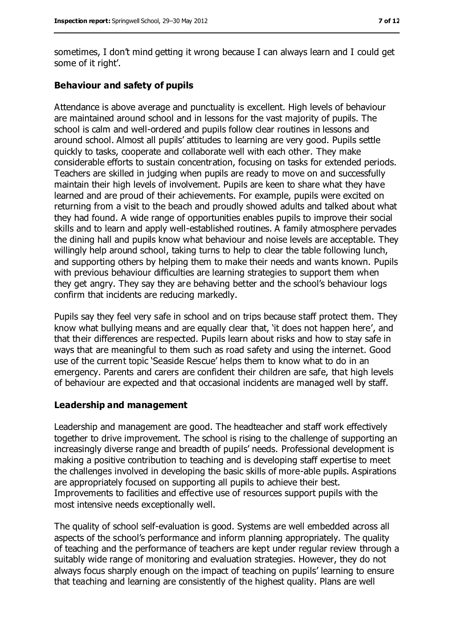sometimes, I don't mind getting it wrong because I can always learn and I could get some of it right'.

#### **Behaviour and safety of pupils**

Attendance is above average and punctuality is excellent. High levels of behaviour are maintained around school and in lessons for the vast majority of pupils. The school is calm and well-ordered and pupils follow clear routines in lessons and around school. Almost all pupils' attitudes to learning are very good. Pupils settle quickly to tasks, cooperate and collaborate well with each other. They make considerable efforts to sustain concentration, focusing on tasks for extended periods. Teachers are skilled in judging when pupils are ready to move on and successfully maintain their high levels of involvement. Pupils are keen to share what they have learned and are proud of their achievements. For example, pupils were excited on returning from a visit to the beach and proudly showed adults and talked about what they had found. A wide range of opportunities enables pupils to improve their social skills and to learn and apply well-established routines. A family atmosphere pervades the dining hall and pupils know what behaviour and noise levels are acceptable. They willingly help around school, taking turns to help to clear the table following lunch, and supporting others by helping them to make their needs and wants known. Pupils with previous behaviour difficulties are learning strategies to support them when they get angry. They say they are behaving better and the school's behaviour logs confirm that incidents are reducing markedly.

Pupils say they feel very safe in school and on trips because staff protect them. They know what bullying means and are equally clear that, 'it does not happen here', and that their differences are respected. Pupils learn about risks and how to stay safe in ways that are meaningful to them such as road safety and using the internet. Good use of the current topic 'Seaside Rescue' helps them to know what to do in an emergency. Parents and carers are confident their children are safe, that high levels of behaviour are expected and that occasional incidents are managed well by staff.

#### **Leadership and management**

Leadership and management are good. The headteacher and staff work effectively together to drive improvement. The school is rising to the challenge of supporting an increasingly diverse range and breadth of pupils' needs. Professional development is making a positive contribution to teaching and is developing staff expertise to meet the challenges involved in developing the basic skills of more-able pupils. Aspirations are appropriately focused on supporting all pupils to achieve their best. Improvements to facilities and effective use of resources support pupils with the most intensive needs exceptionally well.

The quality of school self-evaluation is good. Systems are well embedded across all aspects of the school's performance and inform planning appropriately. The quality of teaching and the performance of teachers are kept under regular review through a suitably wide range of monitoring and evaluation strategies. However, they do not always focus sharply enough on the impact of teaching on pupils' learning to ensure that teaching and learning are consistently of the highest quality. Plans are well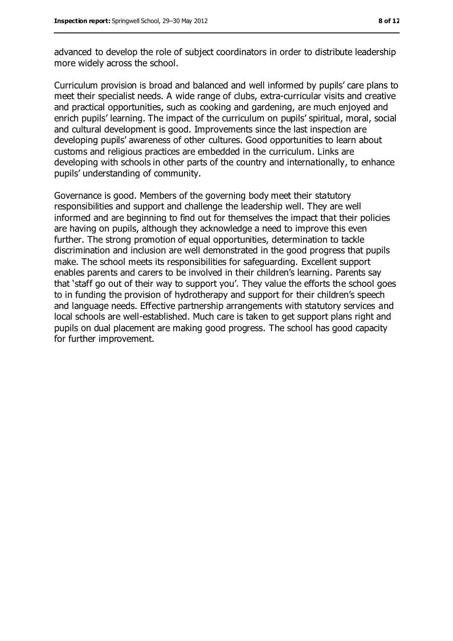advanced to develop the role of subject coordinators in order to distribute leadership more widely across the school.

Curriculum provision is broad and balanced and well informed by pupils' care plans to meet their specialist needs. A wide range of clubs, extra-curricular visits and creative and practical opportunities, such as cooking and gardening, are much enjoyed and enrich pupils' learning. The impact of the curriculum on pupils' spiritual, moral, social and cultural development is good. Improvements since the last inspection are developing pupils' awareness of other cultures. Good opportunities to learn about customs and religious practices are embedded in the curriculum. Links are developing with schools in other parts of the country and internationally, to enhance pupils' understanding of community.

Governance is good. Members of the governing body meet their statutory responsibilities and support and challenge the leadership well. They are well informed and are beginning to find out for themselves the impact that their policies are having on pupils, although they acknowledge a need to improve this even further. The strong promotion of equal opportunities, determination to tackle discrimination and inclusion are well demonstrated in the good progress that pupils make. The school meets its responsibilities for safeguarding. Excellent support enables parents and carers to be involved in their children's learning. Parents say that 'staff go out of their way to support you'. They value the efforts the school goes to in funding the provision of hydrotherapy and support for their children's speech and language needs. Effective partnership arrangements with statutory services and local schools are well-established. Much care is taken to get support plans right and pupils on dual placement are making good progress. The school has good capacity for further improvement.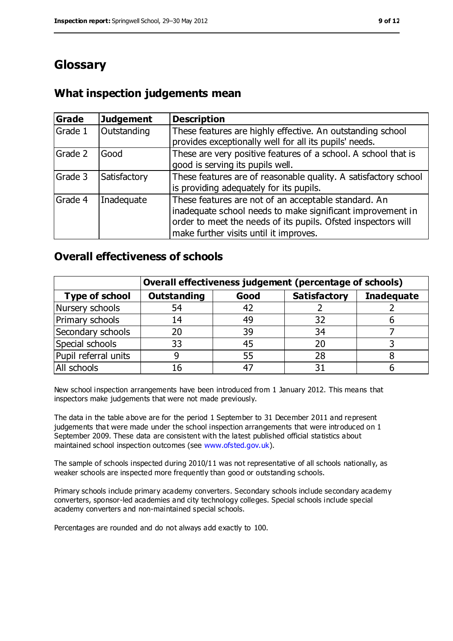# **Glossary**

### **What inspection judgements mean**

| <b>Grade</b> | <b>Judgement</b> | <b>Description</b>                                                                                                                                                                                                            |
|--------------|------------------|-------------------------------------------------------------------------------------------------------------------------------------------------------------------------------------------------------------------------------|
| Grade 1      | Outstanding      | These features are highly effective. An outstanding school<br>provides exceptionally well for all its pupils' needs.                                                                                                          |
| Grade 2      | Good             | These are very positive features of a school. A school that is<br>good is serving its pupils well.                                                                                                                            |
| Grade 3      | Satisfactory     | These features are of reasonable quality. A satisfactory school<br>is providing adequately for its pupils.                                                                                                                    |
| Grade 4      | Inadequate       | These features are not of an acceptable standard. An<br>inadequate school needs to make significant improvement in<br>order to meet the needs of its pupils. Ofsted inspectors will<br>make further visits until it improves. |

### **Overall effectiveness of schools**

|                       | Overall effectiveness judgement (percentage of schools) |       |                     |                   |
|-----------------------|---------------------------------------------------------|-------|---------------------|-------------------|
| <b>Type of school</b> | <b>Outstanding</b>                                      | Good  | <b>Satisfactory</b> | <b>Inadequate</b> |
| Nursery schools       | 54                                                      | 42    |                     |                   |
| Primary schools       | 14                                                      | 49    | 32                  |                   |
| Secondary schools     | 20                                                      | 39    | 34                  |                   |
| Special schools       | 33                                                      | 45    | 20                  |                   |
| Pupil referral units  | 9                                                       | 55    | 28                  |                   |
| All schools           | 16                                                      | $4^-$ |                     |                   |

New school inspection arrangements have been introduced from 1 January 2012. This means that inspectors make judgements that were not made previously.

The data in the table above are for the period 1 September to 31 December 2011 and represent judgements that were made under the school inspection arrangements that were introduced on 1 September 2009. These data are consistent with the latest published official statistics about maintained school inspection outcomes (see [www.ofsted.gov.uk\)](file:///C:/Users/glaw/gwhite/AppData/Local/Microsoft/Windows/Temporary%20Internet%20Files/OLK413E/www.ofsted.gov.uk).

The sample of schools inspected during 2010/11 was not representative of all schools nationally, as weaker schools are inspected more frequently than good or outstanding schools.

Primary schools include primary academy converters. Secondary schools include secondary academy converters, sponsor-led academies and city technology colleges. Special schools include special academy converters and non-maintained special schools.

Percentages are rounded and do not always add exactly to 100.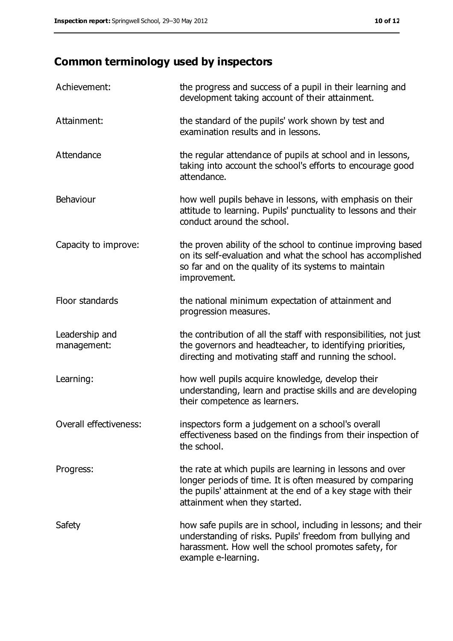# **Common terminology used by inspectors**

| Achievement:                  | the progress and success of a pupil in their learning and<br>development taking account of their attainment.                                                                                                           |
|-------------------------------|------------------------------------------------------------------------------------------------------------------------------------------------------------------------------------------------------------------------|
| Attainment:                   | the standard of the pupils' work shown by test and<br>examination results and in lessons.                                                                                                                              |
| Attendance                    | the regular attendance of pupils at school and in lessons,<br>taking into account the school's efforts to encourage good<br>attendance.                                                                                |
| Behaviour                     | how well pupils behave in lessons, with emphasis on their<br>attitude to learning. Pupils' punctuality to lessons and their<br>conduct around the school.                                                              |
| Capacity to improve:          | the proven ability of the school to continue improving based<br>on its self-evaluation and what the school has accomplished<br>so far and on the quality of its systems to maintain<br>improvement.                    |
| Floor standards               | the national minimum expectation of attainment and<br>progression measures.                                                                                                                                            |
| Leadership and<br>management: | the contribution of all the staff with responsibilities, not just<br>the governors and headteacher, to identifying priorities,<br>directing and motivating staff and running the school.                               |
| Learning:                     | how well pupils acquire knowledge, develop their<br>understanding, learn and practise skills and are developing<br>their competence as learners.                                                                       |
| Overall effectiveness:        | inspectors form a judgement on a school's overall<br>effectiveness based on the findings from their inspection of<br>the school.                                                                                       |
| Progress:                     | the rate at which pupils are learning in lessons and over<br>longer periods of time. It is often measured by comparing<br>the pupils' attainment at the end of a key stage with their<br>attainment when they started. |
| Safety                        | how safe pupils are in school, including in lessons; and their<br>understanding of risks. Pupils' freedom from bullying and<br>harassment. How well the school promotes safety, for<br>example e-learning.             |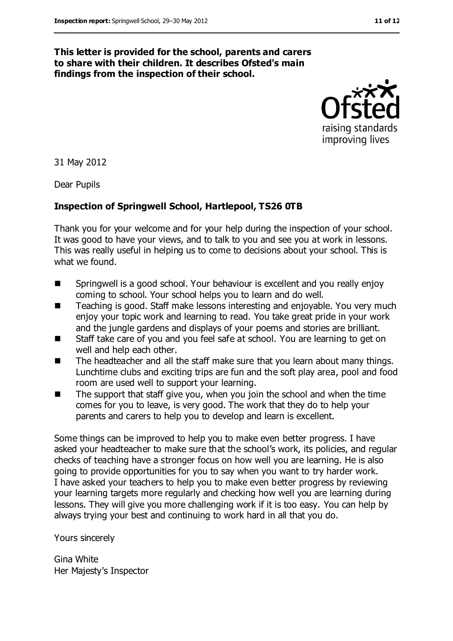#### **This letter is provided for the school, parents and carers to share with their children. It describes Ofsted's main findings from the inspection of their school.**



31 May 2012

Dear Pupils

#### **Inspection of Springwell School, Hartlepool, TS26 0TB**

Thank you for your welcome and for your help during the inspection of your school. It was good to have your views, and to talk to you and see you at work in lessons. This was really useful in helping us to come to decisions about your school. This is what we found.

- Springwell is a good school. Your behaviour is excellent and you really enjoy coming to school. Your school helps you to learn and do well.
- Teaching is good. Staff make lessons interesting and enjoyable. You very much enjoy your topic work and learning to read. You take great pride in your work and the jungle gardens and displays of your poems and stories are brilliant.
- Staff take care of you and you feel safe at school. You are learning to get on well and help each other.
- The headteacher and all the staff make sure that you learn about many things. Lunchtime clubs and exciting trips are fun and the soft play area, pool and food room are used well to support your learning.
- $\blacksquare$  The support that staff give you, when you join the school and when the time comes for you to leave, is very good. The work that they do to help your parents and carers to help you to develop and learn is excellent.

Some things can be improved to help you to make even better progress. I have asked your headteacher to make sure that the school's work, its policies, and regular checks of teaching have a stronger focus on how well you are learning. He is also going to provide opportunities for you to say when you want to try harder work. I have asked your teachers to help you to make even better progress by reviewing your learning targets more regularly and checking how well you are learning during lessons. They will give you more challenging work if it is too easy. You can help by always trying your best and continuing to work hard in all that you do.

Yours sincerely

Gina White Her Majesty's Inspector